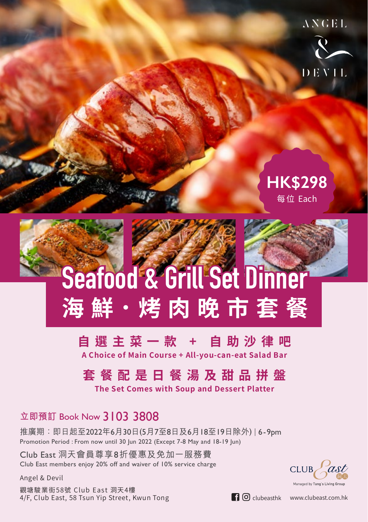

## **HK\$298** 每位 Each

# **Seafood & Grill Set Dinner 海 鮮.烤 肉 晚 市 套 餐**

#### **自選主菜一款 + 自助沙律吧 A Choice of Main Course + All-you-can-eat Salad Bar**

## **套餐配是日餐湯及甜品拼盤**

**The Set Comes with Soup and Dessert Platter**

### **立即預訂** Book Now 3103 3808

推廣期:即日起至2022年6月30日(5月7至8日及6月18至19日除外) | 6-9pm Promotion Period : From now until 30 Jun 2022 (Except 7-8 May and 18-19 Jun)

Club East 洞天會員尊享8折優惠及免加一服務費 Club East members enjoy 20% off and waiver of 10% service charge

Angel & Devil

觀塘駿業街58號 Club East 洞天4樓  $4/F$ , Club East, 58 Tsun Yip Street, Kwun Tong clubeasthk www.clubeast.com.hk